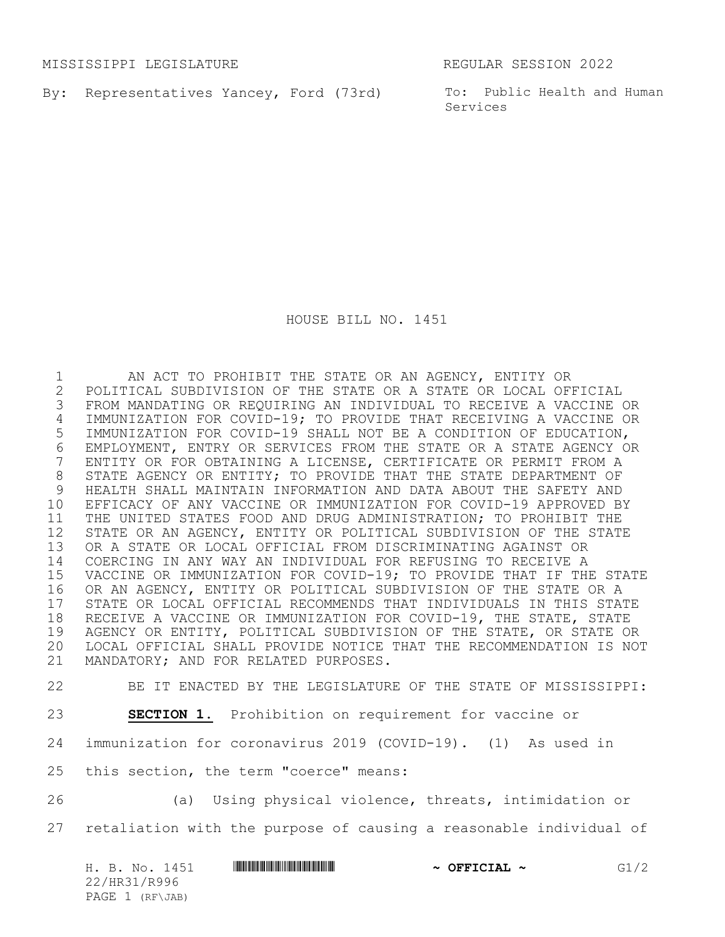MISSISSIPPI LEGISLATURE REGULAR SESSION 2022

By: Representatives Yancey, Ford (73rd) To: Public Health and Human

Services

HOUSE BILL NO. 1451

 AN ACT TO PROHIBIT THE STATE OR AN AGENCY, ENTITY OR POLITICAL SUBDIVISION OF THE STATE OR A STATE OR LOCAL OFFICIAL FROM MANDATING OR REQUIRING AN INDIVIDUAL TO RECEIVE A VACCINE OR IMMUNIZATION FOR COVID-19; TO PROVIDE THAT RECEIVING A VACCINE OR IMMUNIZATION FOR COVID-19 SHALL NOT BE A CONDITION OF EDUCATION, 6 EMPLOYMENT, ENTRY OR SERVICES FROM THE STATE OR A STATE AGENCY OR<br>7 ENTITY OR FOR OBTAINING A LICENSE, CERTIFICATE OR PERMIT FROM A ENTITY OR FOR OBTAINING A LICENSE, CERTIFICATE OR PERMIT FROM A 8 STATE AGENCY OR ENTITY; TO PROVIDE THAT THE STATE DEPARTMENT OF HEALTH SHALL MAINTAIN INFORMATION AND DATA ABOUT THE SAFETY AND EFFICACY OF ANY VACCINE OR IMMUNIZATION FOR COVID-19 APPROVED BY THE UNITED STATES FOOD AND DRUG ADMINISTRATION; TO PROHIBIT THE STATE OR AN AGENCY, ENTITY OR POLITICAL SUBDIVISION OF THE STATE OR A STATE OR LOCAL OFFICIAL FROM DISCRIMINATING AGAINST OR COERCING IN ANY WAY AN INDIVIDUAL FOR REFUSING TO RECEIVE A VACCINE OR IMMUNIZATION FOR COVID-19; TO PROVIDE THAT IF THE STATE OR AN AGENCY, ENTITY OR POLITICAL SUBDIVISION OF THE STATE OR A 17 STATE OR LOCAL OFFICIAL RECOMMENDS THAT INDIVIDUALS IN THIS STATE<br>18 RECEIVE A VACCINE OR IMMUNIZATION FOR COVID-19, THE STATE, STATE RECEIVE A VACCINE OR IMMUNIZATION FOR COVID-19, THE STATE, STATE AGENCY OR ENTITY, POLITICAL SUBDIVISION OF THE STATE, OR STATE OR LOCAL OFFICIAL SHALL PROVIDE NOTICE THAT THE RECOMMENDATION IS NOT MANDATORY; AND FOR RELATED PURPOSES.

BE IT ENACTED BY THE LEGISLATURE OF THE STATE OF MISSISSIPPI:

**SECTION 1.** Prohibition on requirement for vaccine or

immunization for coronavirus 2019 (COVID-19). (1) As used in

- this section, the term "coerce" means:
- (a) Using physical violence, threats, intimidation or retaliation with the purpose of causing a reasonable individual of

| H. B. No. 1451  |  | $\sim$ OFFICIAL $\sim$ | G1/2 |
|-----------------|--|------------------------|------|
| 22/HR31/R996    |  |                        |      |
| PAGE 1 (RF\JAB) |  |                        |      |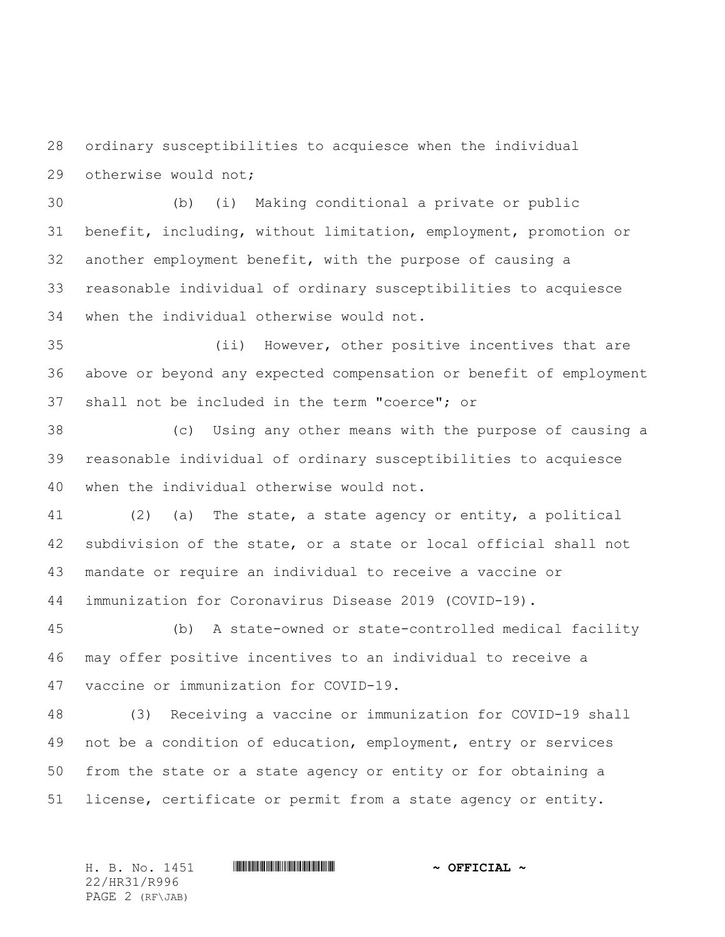ordinary susceptibilities to acquiesce when the individual otherwise would not;

 (b) (i) Making conditional a private or public benefit, including, without limitation, employment, promotion or another employment benefit, with the purpose of causing a reasonable individual of ordinary susceptibilities to acquiesce when the individual otherwise would not.

 (ii) However, other positive incentives that are above or beyond any expected compensation or benefit of employment shall not be included in the term "coerce"; or

 (c) Using any other means with the purpose of causing a reasonable individual of ordinary susceptibilities to acquiesce when the individual otherwise would not.

 (2) (a) The state, a state agency or entity, a political subdivision of the state, or a state or local official shall not mandate or require an individual to receive a vaccine or immunization for Coronavirus Disease 2019 (COVID-19).

 (b) A state-owned or state-controlled medical facility may offer positive incentives to an individual to receive a vaccine or immunization for COVID-19.

 (3) Receiving a vaccine or immunization for COVID-19 shall not be a condition of education, employment, entry or services from the state or a state agency or entity or for obtaining a license, certificate or permit from a state agency or entity.

H. B. No. 1451 \*HR31/R996\* **~ OFFICIAL ~** 22/HR31/R996 PAGE 2 (RF\JAB)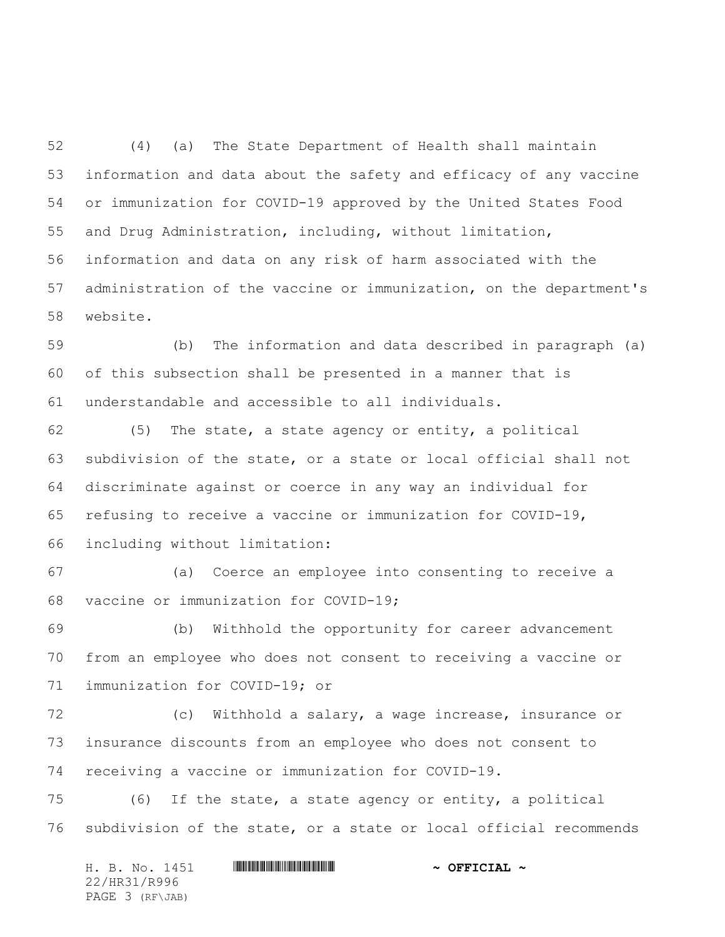(4) (a) The State Department of Health shall maintain information and data about the safety and efficacy of any vaccine or immunization for COVID-19 approved by the United States Food and Drug Administration, including, without limitation, information and data on any risk of harm associated with the administration of the vaccine or immunization, on the department's website.

 (b) The information and data described in paragraph (a) of this subsection shall be presented in a manner that is understandable and accessible to all individuals.

 (5) The state, a state agency or entity, a political subdivision of the state, or a state or local official shall not discriminate against or coerce in any way an individual for refusing to receive a vaccine or immunization for COVID-19, including without limitation:

 (a) Coerce an employee into consenting to receive a vaccine or immunization for COVID-19;

 (b) Withhold the opportunity for career advancement from an employee who does not consent to receiving a vaccine or immunization for COVID-19; or

 (c) Withhold a salary, a wage increase, insurance or insurance discounts from an employee who does not consent to receiving a vaccine or immunization for COVID-19.

 (6) If the state, a state agency or entity, a political subdivision of the state, or a state or local official recommends

H. B. No. 1451 **. AND AND AN ABLE AND A SEPICIAL ~** 22/HR31/R996 PAGE 3 (RF\JAB)